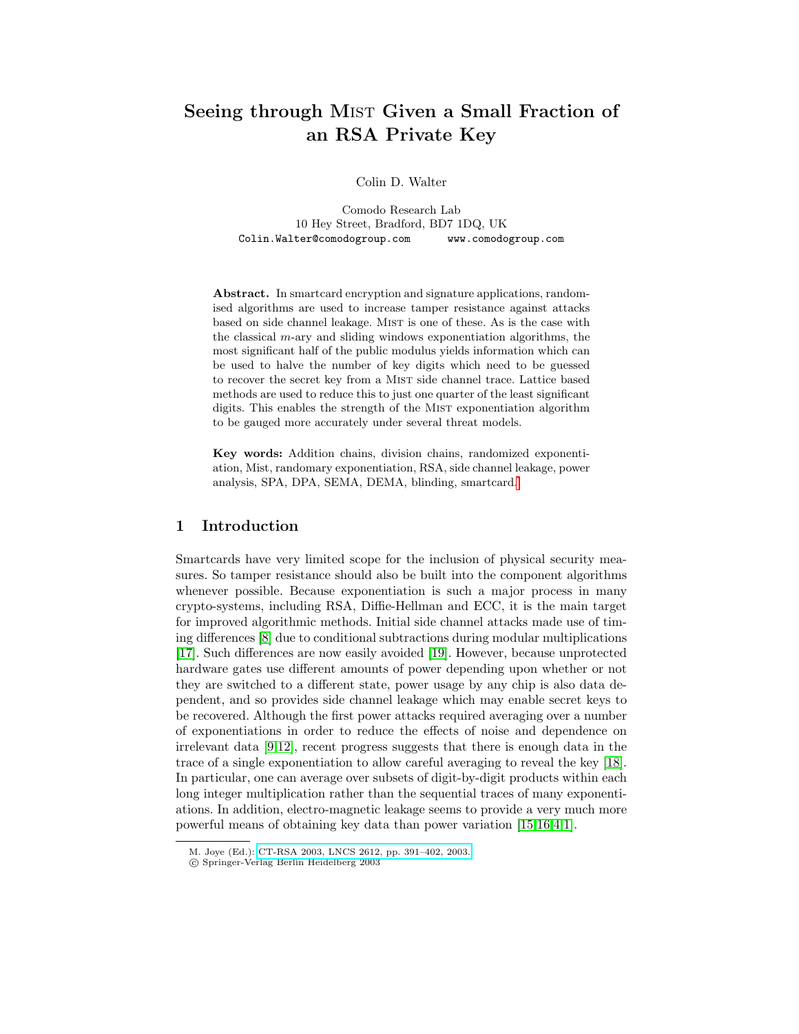# Seeing through MIST Given a Small Fraction of an RSA Private Key

Colin D. Walter

Comodo Research Lab 10 Hey Street, Bradford, BD7 1DQ, UK Colin.Walter@comodogroup.com www.comodogroup.com

Abstract. In smartcard encryption and signature applications, randomised algorithms are used to increase tamper resistance against attacks based on side channel leakage. Mist is one of these. As is the case with the classical  $m$ -ary and sliding windows exponentiation algorithms, the most significant half of the public modulus yields information which can be used to halve the number of key digits which need to be guessed to recover the secret key from a Mist side channel trace. Lattice based methods are used to reduce this to just one quarter of the least significant digits. This enables the strength of the MIST exponentiation algorithm to be gauged more accurately under several threat models.

Key words: Addition chains, division chains, randomized exponentiation, Mist, randomary exponentiation, RSA, side channel leakage, power analysis, SPA, DPA, SEMA, DEMA, blinding, smartcard[.](#page-0-0)

#### 1 Introduction

Smartcards have very limited scope for the inclusion of physical security measures. So tamper resistance should also be built into the component algorithms whenever possible. Because exponentiation is such a major process in many crypto-systems, including RSA, Diffie-Hellman and ECC, it is the main target for improved algorithmic methods. Initial side channel attacks made use of timing differences [\[8\]](#page-10-0) due to conditional subtractions during modular multiplications [\[17\]](#page-11-0). Such differences are now easily avoided [\[19\]](#page-11-1). However, because unprotected hardware gates use different amounts of power depending upon whether or not they are switched to a different state, power usage by any chip is also data dependent, and so provides side channel leakage which may enable secret keys to be recovered. Although the first power attacks required averaging over a number of exponentiations in order to reduce the effects of noise and dependence on irrelevant data [\[9,](#page-10-1)[12\]](#page-10-2), recent progress suggests that there is enough data in the trace of a single exponentiation to allow careful averaging to reveal the key [\[18\]](#page-11-2). In particular, one can average over subsets of digit-by-digit products within each long integer multiplication rather than the sequential traces of many exponentiations. In addition, electro-magnetic leakage seems to provide a very much more powerful means of obtaining key data than power variation [\[15,](#page-10-3)[16,](#page-10-4)[4,](#page-10-5)[1\]](#page-10-6).

<span id="page-0-0"></span>M. Joye (Ed.): [CT-RSA 2003, LNCS 2612, pp. 391–402, 2003.](http://www.springerlink.com/index/jr9ygapjw4pcecrl.pdf)

c Springer-Verlag Berlin Heidelberg 2003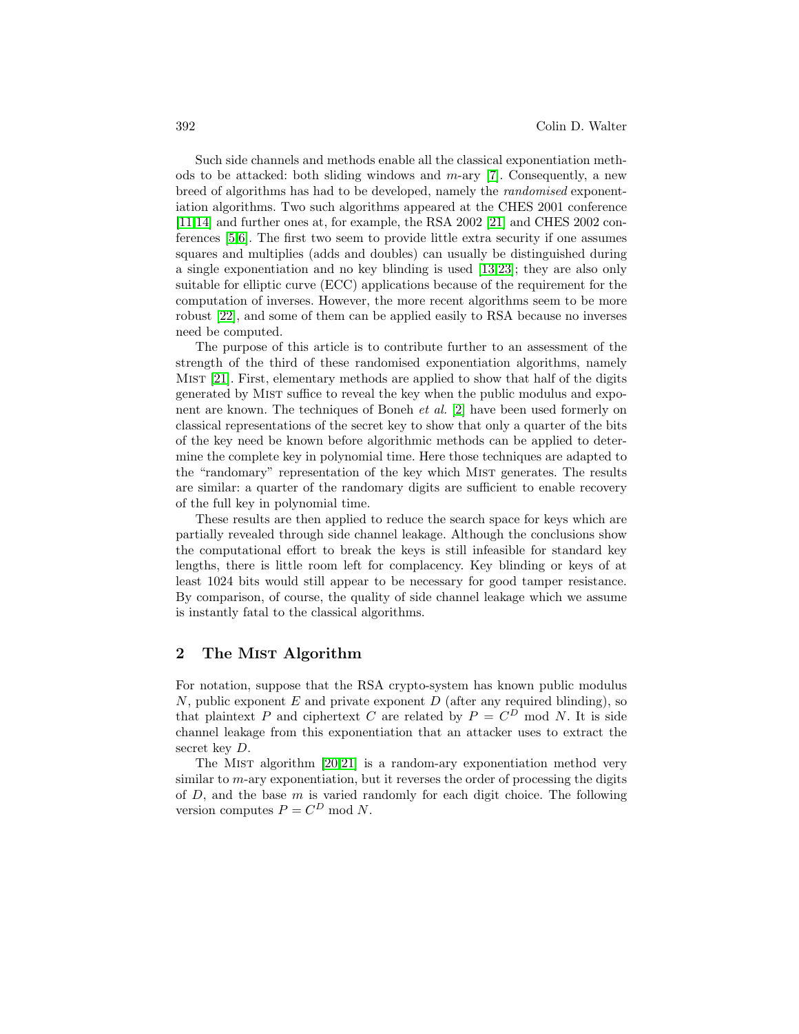Such side channels and methods enable all the classical exponentiation methods to be attacked: both sliding windows and  $m$ -ary [\[7\]](#page-10-7). Consequently, a new breed of algorithms has had to be developed, namely the randomised exponentiation algorithms. Two such algorithms appeared at the CHES 2001 conference [\[11](#page-10-8)[,14\]](#page-10-9) and further ones at, for example, the RSA 2002 [\[21\]](#page-11-3) and CHES 2002 conferences [\[5](#page-10-10)[,6\]](#page-10-11). The first two seem to provide little extra security if one assumes squares and multiplies (adds and doubles) can usually be distinguished during a single exponentiation and no key blinding is used [\[13,](#page-10-12)[23\]](#page-11-4); they are also only suitable for elliptic curve (ECC) applications because of the requirement for the computation of inverses. However, the more recent algorithms seem to be more robust [\[22\]](#page-11-5), and some of them can be applied easily to RSA because no inverses need be computed.

The purpose of this article is to contribute further to an assessment of the strength of the third of these randomised exponentiation algorithms, namely Mist [\[21\]](#page-11-3). First, elementary methods are applied to show that half of the digits generated by Mist suffice to reveal the key when the public modulus and exponent are known. The techniques of Boneh et al. [\[2\]](#page-10-13) have been used formerly on classical representations of the secret key to show that only a quarter of the bits of the key need be known before algorithmic methods can be applied to determine the complete key in polynomial time. Here those techniques are adapted to the "randomary" representation of the key which MIST generates. The results are similar: a quarter of the randomary digits are sufficient to enable recovery of the full key in polynomial time.

These results are then applied to reduce the search space for keys which are partially revealed through side channel leakage. Although the conclusions show the computational effort to break the keys is still infeasible for standard key lengths, there is little room left for complacency. Key blinding or keys of at least 1024 bits would still appear to be necessary for good tamper resistance. By comparison, of course, the quality of side channel leakage which we assume is instantly fatal to the classical algorithms.

## 2 The MIST Algorithm

For notation, suppose that the RSA crypto-system has known public modulus N, public exponent  $E$  and private exponent  $D$  (after any required blinding), so that plaintext P and ciphertext C are related by  $P = C^D$  mod N. It is side channel leakage from this exponentiation that an attacker uses to extract the secret key  $D$ .

The Mist algorithm [\[20,](#page-11-6)[21\]](#page-11-3) is a random-ary exponentiation method very similar to  $m$ -ary exponentiation, but it reverses the order of processing the digits of  $D$ , and the base  $m$  is varied randomly for each digit choice. The following version computes  $P = C^D \text{ mod } N$ .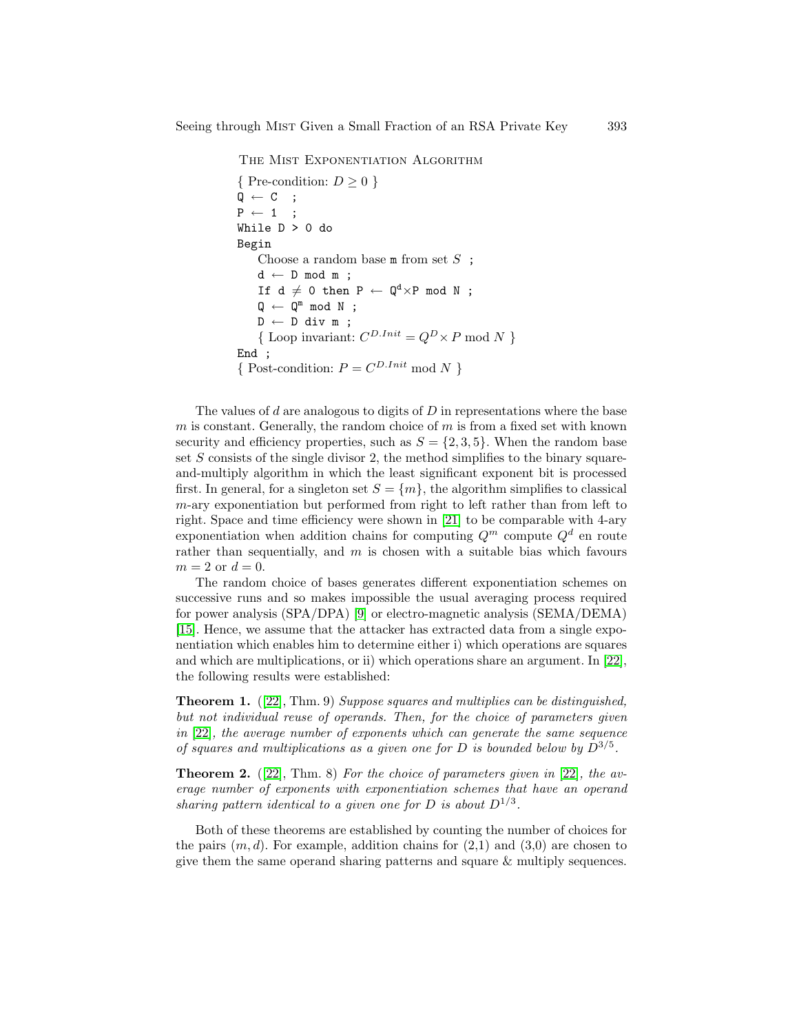THE MIST EXPONENTIATION ALGORITHM

```
{ Pre-condition: D > 0 }
Q \leftarrow C ;
P \leftarrow 1 ;
While D > 0 do
Begin
    Choose a random base m from set S ;
    d \leftarrow D \mod m;
     If d \neq 0 then P \leftarrow Q^d \times P mod N ;
     \mathbb{Q} \leftarrow \mathbb{Q}^m \text{ mod } N ;
    D \leftarrow D div m ;
     {Loop invariant: C^{D.Init} = Q^D \times P \text{ mod } N }
End ;
{ Post-condition: P = C^{D.Init} \mod N }
```
The values of d are analogous to digits of  $D$  in representations where the base m is constant. Generally, the random choice of  $m$  is from a fixed set with known security and efficiency properties, such as  $S = \{2, 3, 5\}$ . When the random base set  $S$  consists of the single divisor 2, the method simplifies to the binary squareand-multiply algorithm in which the least significant exponent bit is processed first. In general, for a singleton set  $S = \{m\}$ , the algorithm simplifies to classical m-ary exponentiation but performed from right to left rather than from left to right. Space and time efficiency were shown in [\[21\]](#page-11-3) to be comparable with 4-ary exponentiation when addition chains for computing  $Q^m$  compute  $Q^d$  en route rather than sequentially, and  $m$  is chosen with a suitable bias which favours  $m=2$  or  $d=0.$ 

The random choice of bases generates different exponentiation schemes on successive runs and so makes impossible the usual averaging process required for power analysis (SPA/DPA) [\[9\]](#page-10-1) or electro-magnetic analysis (SEMA/DEMA) [\[15\]](#page-10-3). Hence, we assume that the attacker has extracted data from a single exponentiation which enables him to determine either i) which operations are squares and which are multiplications, or ii) which operations share an argument. In [\[22\]](#page-11-5), the following results were established:

<span id="page-2-0"></span>Theorem 1. ([\[22\]](#page-11-5), Thm. 9) Suppose squares and multiplies can be distinguished, but not individual reuse of operands. Then, for the choice of parameters given in [\[22\]](#page-11-5), the average number of exponents which can generate the same sequence of squares and multiplications as a given one for D is bounded below by  $D^{3/5}$ .

<span id="page-2-1"></span>**Theorem 2.** ([\[22\]](#page-11-5), Thm. 8) For the choice of parameters given in [22], the average number of exponents with exponentiation schemes that have an operand sharing pattern identical to a given one for D is about  $D^{1/3}$ .

Both of these theorems are established by counting the number of choices for the pairs  $(m, d)$ . For example, addition chains for  $(2,1)$  and  $(3,0)$  are chosen to give them the same operand sharing patterns and square & multiply sequences.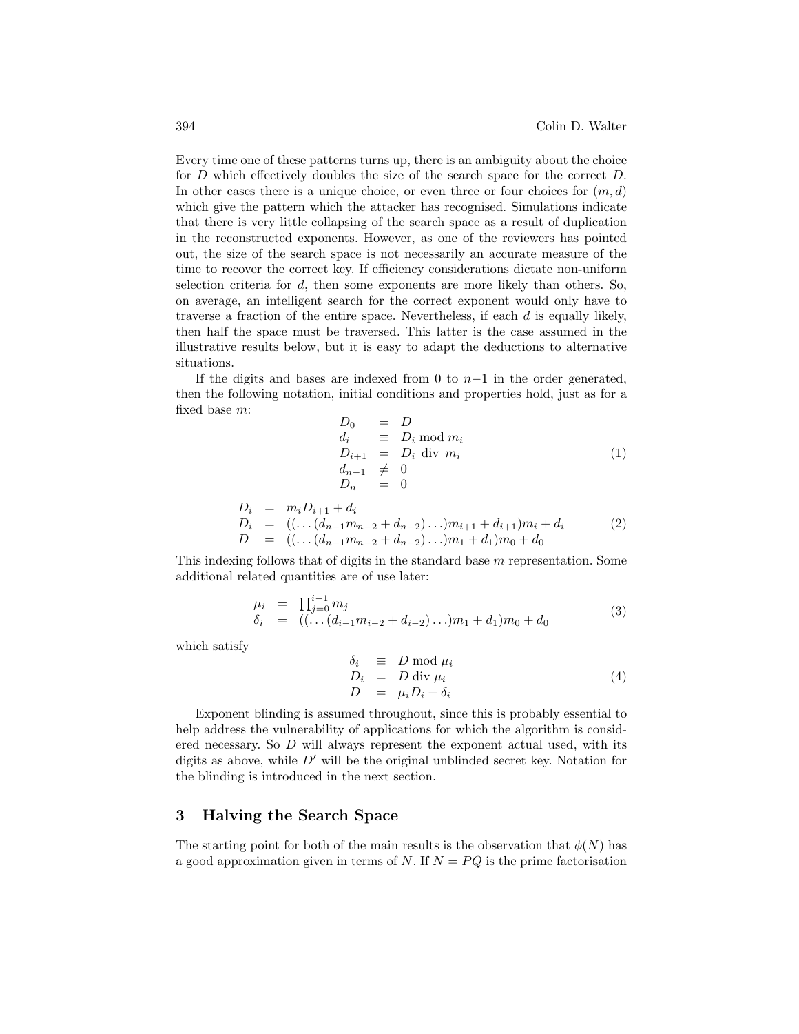Every time one of these patterns turns up, there is an ambiguity about the choice for D which effectively doubles the size of the search space for the correct D. In other cases there is a unique choice, or even three or four choices for  $(m, d)$ which give the pattern which the attacker has recognised. Simulations indicate that there is very little collapsing of the search space as a result of duplication in the reconstructed exponents. However, as one of the reviewers has pointed out, the size of the search space is not necessarily an accurate measure of the time to recover the correct key. If efficiency considerations dictate non-uniform selection criteria for  $d$ , then some exponents are more likely than others. So, on average, an intelligent search for the correct exponent would only have to traverse a fraction of the entire space. Nevertheless, if each  $d$  is equally likely, then half the space must be traversed. This latter is the case assumed in the illustrative results below, but it is easy to adapt the deductions to alternative situations.

If the digits and bases are indexed from 0 to  $n-1$  in the order generated, then the following notation, initial conditions and properties hold, just as for a fixed base m:

$$
D_0 = D
$$
  
\n
$$
d_i \equiv D_i \mod m_i
$$
  
\n
$$
D_{i+1} = D_i \text{ div } m_i
$$
  
\n
$$
d_{n-1} \neq 0
$$
  
\n
$$
D_n = 0
$$
\n(1)

<span id="page-3-1"></span>
$$
D_i = m_i D_{i+1} + d_i
$$
  
\n
$$
D_i = ((\dots (d_{n-1}m_{n-2} + d_{n-2})\dots)m_{i+1} + d_{i+1})m_i + d_i
$$
  
\n
$$
D = ((\dots (d_{n-1}m_{n-2} + d_{n-2})\dots)m_1 + d_1)m_0 + d_0
$$
\n(2)

This indexing follows that of digits in the standard base m representation. Some additional related quantities are of use later:

$$
\mu_i = \prod_{j=0}^{i-1} m_j \n\delta_i = ((\dots (d_{i-1}m_{i-2} + d_{i-2})\dots)m_1 + d_1)m_0 + d_0
$$
\n(3)

which satisfy

<span id="page-3-0"></span>
$$
\begin{array}{rcl}\n\delta_i & \equiv & D \bmod \mu_i \\
D_i & = & D \text{ div } \mu_i \\
D & = & \mu_i D_i + \delta_i\n\end{array} \tag{4}
$$

Exponent blinding is assumed throughout, since this is probably essential to help address the vulnerability of applications for which the algorithm is considered necessary. So  $D$  will always represent the exponent actual used, with its digits as above, while  $D'$  will be the original unblinded secret key. Notation for the blinding is introduced in the next section.

#### 3 Halving the Search Space

The starting point for both of the main results is the observation that  $\phi(N)$  has a good approximation given in terms of N. If  $N = PQ$  is the prime factorisation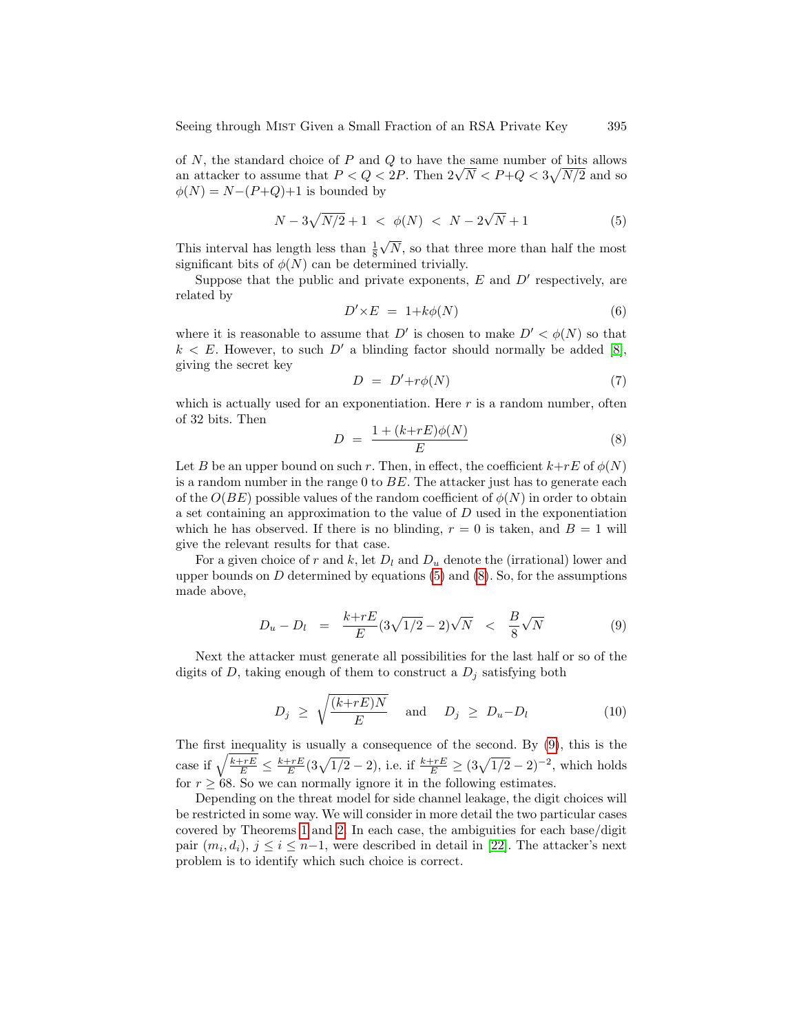of  $N$ , the standard choice of  $P$  and  $Q$  to have the same number of bits allows or *N*, the standard choice of *P* and *Q* to have the same number of bits allows an attacker to assume that  $P < Q < 2P$ . Then  $2\sqrt{N} < P+Q < 3\sqrt{N/2}$  and so  $\phi(N) = N-(P+Q)+1$  is bounded by

<span id="page-4-0"></span>
$$
N - 3\sqrt{N/2} + 1 < \phi(N) < N - 2\sqrt{N} + 1 \tag{5}
$$

This interval has length less than  $\frac{1}{8}$ N, so that three more than half the most significant bits of  $\phi(N)$  can be determined trivially.

Suppose that the public and private exponents,  $E$  and  $D'$  respectively, are related by

$$
D' \times E = 1 + k\phi(N) \tag{6}
$$

where it is reasonable to assume that D' is chosen to make  $D' < \phi(N)$  so that  $k < E$ . However, to such D' a blinding factor should normally be added [\[8\]](#page-10-0), giving the secret key

$$
D = D' + r\phi(N) \tag{7}
$$

which is actually used for an exponentiation. Here  $r$  is a random number, often of 32 bits. Then

<span id="page-4-1"></span>
$$
D = \frac{1 + (k + rE)\phi(N)}{E} \tag{8}
$$

Let B be an upper bound on such r. Then, in effect, the coefficient  $k+rE$  of  $\phi(N)$ is a random number in the range  $0$  to  $BE$ . The attacker just has to generate each of the  $O(BE)$  possible values of the random coefficient of  $\phi(N)$  in order to obtain a set containing an approximation to the value of  $D$  used in the exponentiation which he has observed. If there is no blinding,  $r = 0$  is taken, and  $B = 1$  will give the relevant results for that case.

For a given choice of r and k, let  $D_l$  and  $D_u$  denote the (irrational) lower and upper bounds on  $D$  determined by equations [\(5\)](#page-4-0) and [\(8\)](#page-4-1). So, for the assumptions made above,

<span id="page-4-2"></span>
$$
D_u - D_l = \frac{k + rE}{E} (3\sqrt{1/2} - 2)\sqrt{N} < \frac{B}{8} \sqrt{N} \tag{9}
$$

Next the attacker must generate all possibilities for the last half or so of the digits of D, taking enough of them to construct a  $D_j$  satisfying both

<span id="page-4-3"></span>
$$
D_j \ge \sqrt{\frac{(k+rE)N}{E}} \quad \text{and} \quad D_j \ge D_u - D_l \tag{10}
$$

The first inequality is usually a consequence of the second. By [\(9\)](#page-4-2), this is the case if  $\sqrt{\frac{k+rE}{E}} \le \frac{k+rE}{E} (3\sqrt{1/2}-2)$ , i.e. if  $\frac{k+rE}{E} \ge (3\sqrt{1/2}-2)^{-2}$ , which holds for  $r \geq 68$ . So we can normally ignore it in the following estimates.

Depending on the threat model for side channel leakage, the digit choices will be restricted in some way. We will consider in more detail the two particular cases covered by Theorems [1](#page-2-0) and [2.](#page-2-1) In each case, the ambiguities for each base/digit pair  $(m_i, d_i)$ ,  $j \leq i \leq n-1$ , were described in detail in [\[22\]](#page-11-5). The attacker's next problem is to identify which such choice is correct.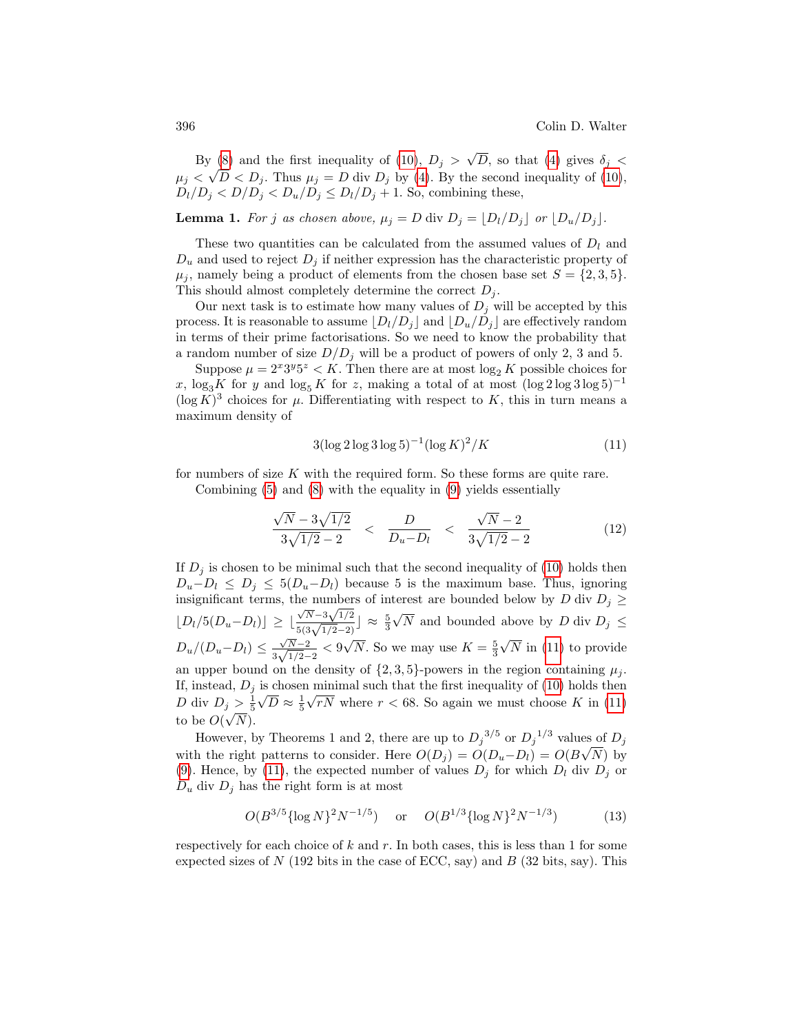By [\(8\)](#page-4-1) and the first inequality of [\(10\)](#page-4-3),  $D_j >$ √  $V(8)$  and the first inequality of (10),  $D_j > \sqrt{D}$ , so that [\(4\)](#page-3-0) gives  $\delta_j < \sqrt{D}$  $\mu_j < \sqrt{D} < D_j$ . Thus  $\mu_j = D$  div  $D_j$  by [\(4\)](#page-3-0). By the second inequality of [\(10\)](#page-4-3),  $D_l/D_j < D/D_j < D_u/D_j \le D_l/D_j + 1$ . So, combining these,

**Lemma 1.** For j as chosen above,  $\mu_j = D$  div  $D_j = \lfloor D_l/D_j \rfloor$  or  $\lfloor D_u/D_j \rfloor$ .

These two quantities can be calculated from the assumed values of  $D_l$  and  $D_u$  and used to reject  $D_i$  if neither expression has the characteristic property of  $\mu_i$ , namely being a product of elements from the chosen base set  $S = \{2, 3, 5\}.$ This should almost completely determine the correct  $D_i$ .

Our next task is to estimate how many values of  $D_j$  will be accepted by this process. It is reasonable to assume  $\lfloor D_l/D_j \rfloor$  and  $\lfloor D_u/D_j \rfloor$  are effectively random in terms of their prime factorisations. So we need to know the probability that a random number of size  $D/D_i$  will be a product of powers of only 2, 3 and 5.

Suppose  $\mu = 2^{x}3^{y}5^{z} < K$ . Then there are at most  $\log_2 K$  possible choices for x, log<sub>3</sub>K for y and log<sub>5</sub> K for z, making a total of at most  $(\log 2 \log 3 \log 5)^{-1}$  $(\log K)^3$  choices for  $\mu$ . Differentiating with respect to K, this in turn means a maximum density of

<span id="page-5-0"></span>
$$
3(\log 2 \log 3 \log 5)^{-1} (\log K)^2 / K \tag{11}
$$

for numbers of size  $K$  with the required form. So these forms are quite rare. Combining [\(5\)](#page-4-0) and [\(8\)](#page-4-1) with the equality in [\(9\)](#page-4-2) yields essentially

$$
\frac{\sqrt{N} - 3\sqrt{1/2}}{3\sqrt{1/2} - 2} < \frac{D}{D_u - D_l} < \frac{\sqrt{N} - 2}{3\sqrt{1/2} - 2} \tag{12}
$$

If  $D_i$  is chosen to be minimal such that the second inequality of [\(10\)](#page-4-3) holds then  $D_u-D_l \leq D_j \leq 5(D_u-D_l)$  because 5 is the maximum base. Thus, ignoring insignificant terms, the numbers of interest are bounded below by D div  $D_j \geq$  $\lfloor D_l/5(D_u-D_l)\rfloor\geq \lfloor \frac{2}{3}\rfloor$  $\frac{\sqrt{N}-3\sqrt{1/2}}{5(3\sqrt{1/2}-2)}$   $\approx \frac{5}{3}$ √ N and bounded above by D div  $D_j \leq$  $D_u/(D_u-D_l) \leq \frac{\sqrt{N-2}}{2\sqrt{1/2}}$  $\frac{\sqrt{N-2}}{3\sqrt{1/2}-2}$  < 9 √  $\overline{N}$ . So we may use  $K=\frac{5}{3}$ √ N in [\(11\)](#page-5-0) to provide an upper bound on the density of  $\{2,3,5\}$ -powers in the region containing  $\mu_j$ . If, instead,  $D_j$  is chosen minimal such that the first inequality of [\(10\)](#page-4-3) holds then D div  $D_j > \frac{1}{5}\sqrt{D} \approx \frac{1}{5}\sqrt{rN}$  where  $r < 68$ . So again we must choose K in [\(11\)](#page-5-0) to be  $O(\sqrt{N}).$ 

However, by Theorems 1 and 2, there are up to  $D_j^{3/5}$  or  $D_j^{1/3}$  values of  $D_j$ with the right patterns to consider. Here  $O(D_j) = O(D_u - D_l) = O(B\sqrt{N})$  by [\(9\)](#page-4-2). Hence, by [\(11\)](#page-5-0), the expected number of values  $D_j$  for which  $D_l$  div  $D_j$  or  $D_u$  div  $D_j$  has the right form is at most

$$
O(B^{3/5}\{\log N\}^2 N^{-1/5})
$$
 or  $O(B^{1/3}\{\log N\}^2 N^{-1/3})$  (13)

respectively for each choice of  $k$  and  $r$ . In both cases, this is less than 1 for some expected sizes of  $N$  (192 bits in the case of ECC, say) and  $B$  (32 bits, say). This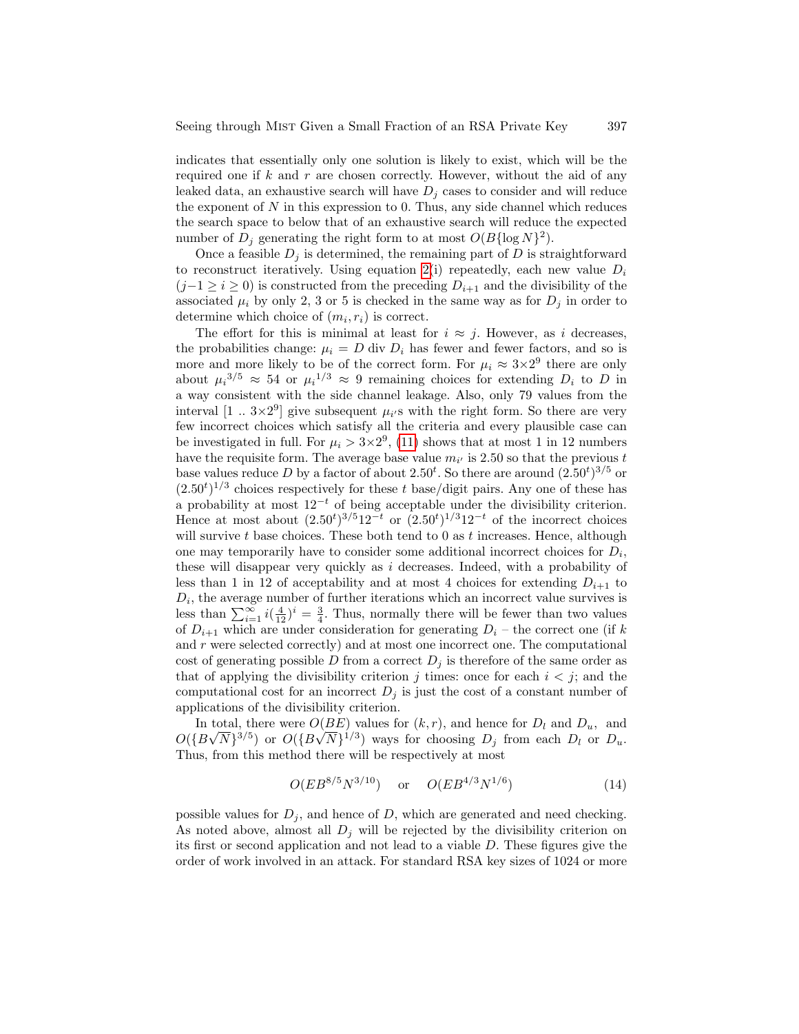indicates that essentially only one solution is likely to exist, which will be the required one if  $k$  and  $r$  are chosen correctly. However, without the aid of any leaked data, an exhaustive search will have  $D_i$  cases to consider and will reduce the exponent of  $N$  in this expression to 0. Thus, any side channel which reduces the search space to below that of an exhaustive search will reduce the expected number of  $D_j$  generating the right form to at most  $O(B\{\log N\})^2)$ .

Once a feasible  $D_j$  is determined, the remaining part of D is straightforward to reconstruct iteratively. Using equation [2\(](#page-3-1)i) repeatedly, each new value  $D_i$  $(j-1 \geq i \geq 0)$  is constructed from the preceding  $D_{i+1}$  and the divisibility of the associated  $\mu_i$  by only 2, 3 or 5 is checked in the same way as for  $D_j$  in order to determine which choice of  $(m_i, r_i)$  is correct.

The effort for this is minimal at least for  $i \approx j$ . However, as i decreases, the probabilities change:  $\mu_i = D$  div  $D_i$  has fewer and fewer factors, and so is more and more likely to be of the correct form. For  $\mu_i \approx 3 \times 2^9$  there are only about  $\mu_i^{3/5} \approx 54$  or  $\mu_i^{1/3} \approx 9$  remaining choices for extending  $D_i$  to D in a way consistent with the side channel leakage. Also, only 79 values from the interval  $[1 \, ... \, 3 \times 2^9]$  give subsequent  $\mu_i$ 's with the right form. So there are very few incorrect choices which satisfy all the criteria and every plausible case can be investigated in full. For  $\mu_i > 3 \times 2^9$ , [\(11\)](#page-5-0) shows that at most 1 in 12 numbers have the requisite form. The average base value  $m_{i'}$  is 2.50 so that the previous t base values reduce D by a factor of about  $2.50^t$ . So there are around  $(2.50^t)^{3/5}$  or  $(2.50<sup>t</sup>)<sup>1/3</sup>$  choices respectively for these t base/digit pairs. Any one of these has a probability at most  $12^{-t}$  of being acceptable under the divisibility criterion. Hence at most about  $(2.50^t)^{3/5}12^{-t}$  or  $(2.50^t)^{1/3}12^{-t}$  of the incorrect choices will survive  $t$  base choices. These both tend to 0 as  $t$  increases. Hence, although one may temporarily have to consider some additional incorrect choices for  $D_i$ , these will disappear very quickly as  $i$  decreases. Indeed, with a probability of less than 1 in 12 of acceptability and at most 4 choices for extending  $D_{i+1}$  to  $D_i$ , the average number of further iterations which an incorrect value survives is less than  $\sum_{i=1}^{\infty} i(\frac{4}{12})^i = \frac{3}{4}$ . Thus, normally there will be fewer than two values of  $D_{i+1}$  which are under consideration for generating  $D_i$  – the correct one (if k and  $r$  were selected correctly) and at most one incorrect one. The computational cost of generating possible D from a correct  $D_j$  is therefore of the same order as that of applying the divisibility criterion j times: once for each  $i < j$ ; and the computational cost for an incorrect  $D_j$  is just the cost of a constant number of applications of the divisibility criterion.

In total, there were  $O(BE)$  values for  $(k, r)$ , and hence for  $D_l$  and  $D_u$ , and  $O({B\sqrt{N}})^{3/5})$  or  $O({B\sqrt{N}})^{1/3})$  ways for choosing  $D_j$  from each  $D_l$  or  $D_u$ . Thus, from this method there will be respectively at most

$$
O(EB^{8/5}N^{3/10})
$$
 or  $O(EB^{4/3}N^{1/6})$  (14)

possible values for  $D_j$ , and hence of D, which are generated and need checking. As noted above, almost all  $D_j$  will be rejected by the divisibility criterion on its first or second application and not lead to a viable D. These figures give the order of work involved in an attack. For standard RSA key sizes of 1024 or more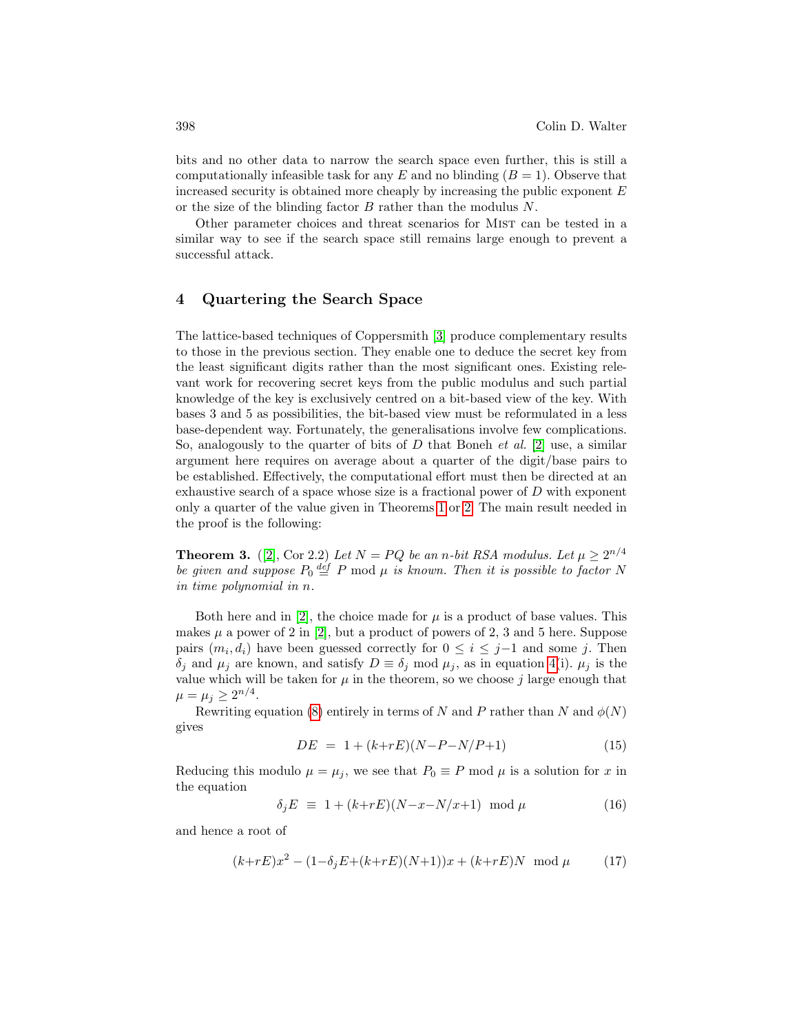bits and no other data to narrow the search space even further, this is still a computationally infeasible task for any E and no blinding  $(B = 1)$ . Observe that increased security is obtained more cheaply by increasing the public exponent  $E$ or the size of the blinding factor B rather than the modulus N.

Other parameter choices and threat scenarios for MIST can be tested in a similar way to see if the search space still remains large enough to prevent a successful attack.

### 4 Quartering the Search Space

The lattice-based techniques of Coppersmith [\[3\]](#page-10-14) produce complementary results to those in the previous section. They enable one to deduce the secret key from the least significant digits rather than the most significant ones. Existing relevant work for recovering secret keys from the public modulus and such partial knowledge of the key is exclusively centred on a bit-based view of the key. With bases 3 and 5 as possibilities, the bit-based view must be reformulated in a less base-dependent way. Fortunately, the generalisations involve few complications. So, analogously to the quarter of bits of  $D$  that Boneh *et al.* [\[2\]](#page-10-13) use, a similar argument here requires on average about a quarter of the digit/base pairs to be established. Effectively, the computational effort must then be directed at an exhaustive search of a space whose size is a fractional power of  $D$  with exponent only a quarter of the value given in Theorems [1](#page-2-0) or [2.](#page-2-1) The main result needed in the proof is the following:

<span id="page-7-1"></span>**Theorem 3.** ([\[2\]](#page-10-13), Cor 2.2) Let  $N = PQ$  be an n-bit RSA modulus. Let  $\mu \geq 2^{n/4}$ be given and suppose  $P_0 \stackrel{def}{=} P \mod \mu$  is known. Then it is possible to factor N in time polynomial in n.

Both here and in [\[2\]](#page-10-13), the choice made for  $\mu$  is a product of base values. This makes  $\mu$  a power of 2 in [\[2\]](#page-10-13), but a product of powers of 2, 3 and 5 here. Suppose pairs  $(m_i, d_i)$  have been guessed correctly for  $0 \leq i \leq j-1$  and some j. Then  $\delta_j$  and  $\mu_j$  are known, and satisfy  $D \equiv \delta_j \mod \mu_j$ , as in equation [4\(](#page-3-0)i).  $\mu_j$  is the value which will be taken for  $\mu$  in the theorem, so we choose j large enough that  $\mu = \mu_j \geq 2^{n/4}.$ 

Rewriting equation [\(8\)](#page-4-1) entirely in terms of N and P rather than N and  $\phi(N)$ gives

$$
DE = 1 + (k + rE)(N - P - N/P + 1)
$$
\n(15)

Reducing this modulo  $\mu = \mu_j$ , we see that  $P_0 \equiv P \mod \mu$  is a solution for x in the equation

$$
\delta_j E \equiv 1 + (k + rE)(N - x - N/x + 1) \mod \mu \tag{16}
$$

and hence a root of

<span id="page-7-0"></span>
$$
(k+rE)x^2 - (1 - \delta_j E + (k+rE)(N+1))x + (k+rE)N \mod \mu \tag{17}
$$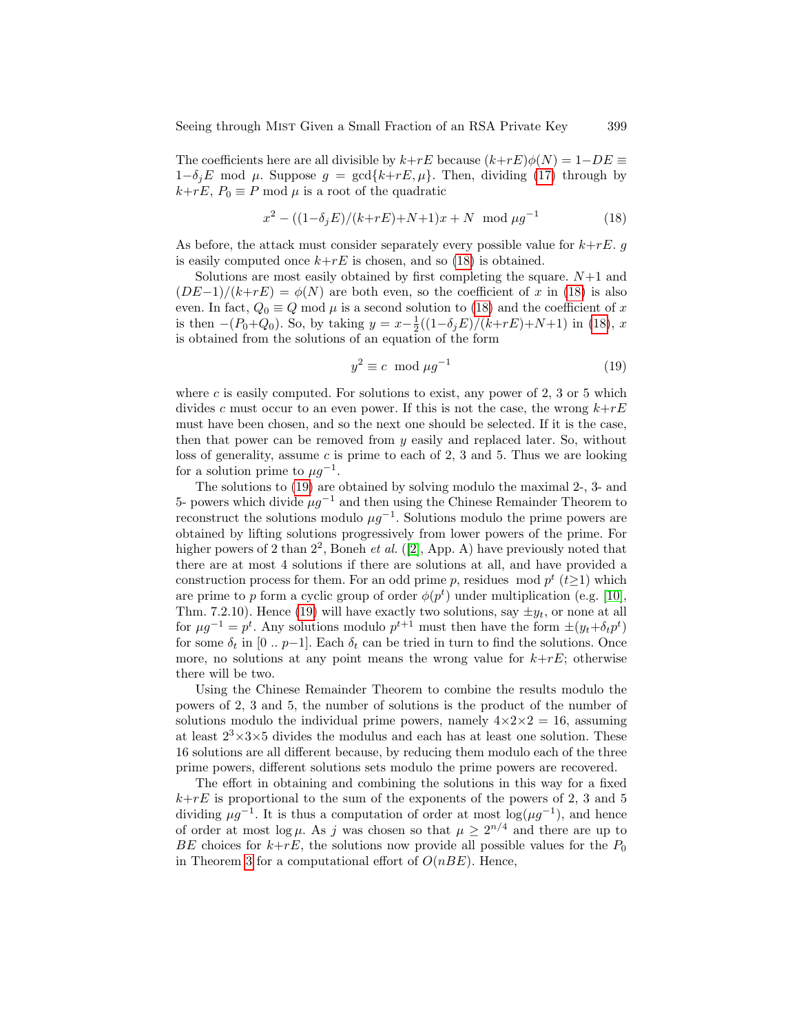The coefficients here are all divisible by  $k+rE$  because  $(k+rE)\phi(N) = 1-DE \equiv$  $1-\delta_jE$  mod  $\mu$ . Suppose  $g = \text{gcd}\{k+rE, \mu\}$ . Then, dividing [\(17\)](#page-7-0) through by  $k+rE, P_0 \equiv P \mod \mu$  is a root of the quadratic

<span id="page-8-0"></span>
$$
x^{2} - ((1 - \delta_{j}E)/(k + rE) + N + 1)x + N \mod \mu g^{-1}
$$
\n(18)

As before, the attack must consider separately every possible value for  $k+rE$ . is easily computed once  $k+rE$  is chosen, and so [\(18\)](#page-8-0) is obtained.

Solutions are most easily obtained by first completing the square.  $N+1$  and  $(DE-1)/(k+rE) = \phi(N)$  are both even, so the coefficient of x in [\(18\)](#page-8-0) is also even. In fact,  $Q_0 \equiv Q \mod \mu$  is a second solution to [\(18\)](#page-8-0) and the coefficient of x is then  $-(P_0+Q_0)$ . So, by taking  $y = x - \frac{1}{2}((1-\delta_j E)/(k+rE)+N+1)$  in [\(18\)](#page-8-0), x is obtained from the solutions of an equation of the form

<span id="page-8-1"></span>
$$
y^2 \equiv c \mod \mu g^{-1} \tag{19}
$$

where  $c$  is easily computed. For solutions to exist, any power of 2, 3 or 5 which divides c must occur to an even power. If this is not the case, the wrong  $k+rE$ must have been chosen, and so the next one should be selected. If it is the case, then that power can be removed from  $y$  easily and replaced later. So, without loss of generality, assume  $c$  is prime to each of 2, 3 and 5. Thus we are looking for a solution prime to  $\mu g^{-1}$ .

The solutions to [\(19\)](#page-8-1) are obtained by solving modulo the maximal 2-, 3- and 5- powers which divide  $\mu g^{-1}$  and then using the Chinese Remainder Theorem to reconstruct the solutions modulo  $\mu g^{-1}$ . Solutions modulo the prime powers are obtained by lifting solutions progressively from lower powers of the prime. For higher powers of 2 than  $2^2$ , Boneh *et al.* ([\[2\]](#page-10-13), App. A) have previously noted that there are at most 4 solutions if there are solutions at all, and have provided a construction process for them. For an odd prime p, residues mod  $p^t$  ( $t \geq 1$ ) which are prime to p form a cyclic group of order  $\phi(p^t)$  under multiplication (e.g. [\[10\]](#page-10-15), Thm. 7.2.10). Hence [\(19\)](#page-8-1) will have exactly two solutions, say  $\pm y_t$ , or none at all for  $\mu g^{-1} = p^t$ . Any solutions modulo  $p^{t+1}$  must then have the form  $\pm (y_t + \delta_t p^t)$ for some  $\delta_t$  in [0 .. p-1]. Each  $\delta_t$  can be tried in turn to find the solutions. Once more, no solutions at any point means the wrong value for  $k+rE$ ; otherwise there will be two.

Using the Chinese Remainder Theorem to combine the results modulo the powers of 2, 3 and 5, the number of solutions is the product of the number of solutions modulo the individual prime powers, namely  $4 \times 2 \times 2 = 16$ , assuming at least  $2^3 \times 3 \times 5$  divides the modulus and each has at least one solution. These 16 solutions are all different because, by reducing them modulo each of the three prime powers, different solutions sets modulo the prime powers are recovered.

The effort in obtaining and combining the solutions in this way for a fixed  $k+rE$  is proportional to the sum of the exponents of the powers of 2, 3 and 5 dividing  $\mu g^{-1}$ . It is thus a computation of order at most  $\log(\mu g^{-1})$ , and hence of order at most  $\log \mu$ . As j was chosen so that  $\mu \geq 2^{n/4}$  and there are up to BE choices for  $k+rE$ , the solutions now provide all possible values for the  $P_0$ in Theorem [3](#page-7-1) for a computational effort of  $O(nBE)$ . Hence,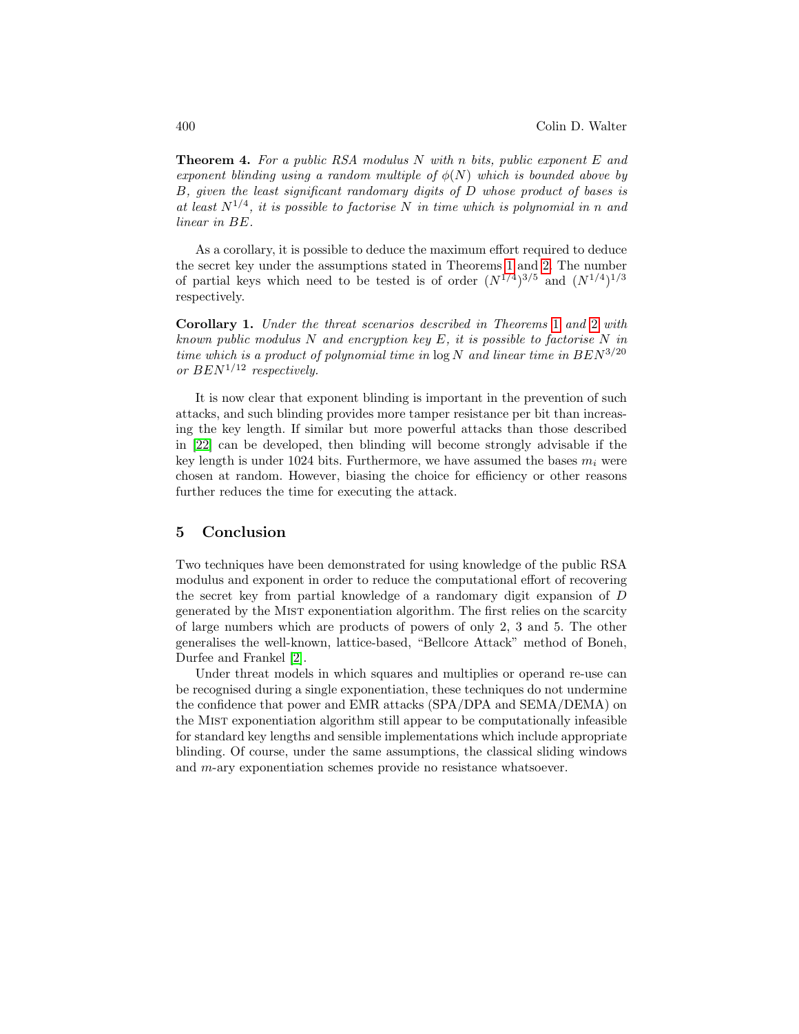**Theorem 4.** For a public RSA modulus N with n bits, public exponent E and exponent blinding using a random multiple of  $\phi(N)$  which is bounded above by B, given the least significant randomary digits of D whose product of bases is at least  $N^{1/4}$ , it is possible to factorise N in time which is polynomial in n and linear in BE.

As a corollary, it is possible to deduce the maximum effort required to deduce the secret key under the assumptions stated in Theorems [1](#page-2-0) and [2.](#page-2-1) The number of partial keys which need to be tested is of order  $(N^{1/4})^{3/5}$  and  $(N^{1/4})^{1/3}$ respectively.

Corollary 1. Under the threat scenarios described in Theorems [1](#page-2-0) and [2](#page-2-1) with known public modulus N and encryption key E, it is possible to factorise N in time which is a product of polynomial time in  $\log N$  and linear time in  $BEN^{3/20}$ or  $BEN^{1/12}$  respectively.

It is now clear that exponent blinding is important in the prevention of such attacks, and such blinding provides more tamper resistance per bit than increasing the key length. If similar but more powerful attacks than those described in [\[22\]](#page-11-5) can be developed, then blinding will become strongly advisable if the key length is under 1024 bits. Furthermore, we have assumed the bases  $m_i$  were chosen at random. However, biasing the choice for efficiency or other reasons further reduces the time for executing the attack.

#### 5 Conclusion

Two techniques have been demonstrated for using knowledge of the public RSA modulus and exponent in order to reduce the computational effort of recovering the secret key from partial knowledge of a randomary digit expansion of D generated by the Mist exponentiation algorithm. The first relies on the scarcity of large numbers which are products of powers of only 2, 3 and 5. The other generalises the well-known, lattice-based, "Bellcore Attack" method of Boneh, Durfee and Frankel [\[2\]](#page-10-13).

Under threat models in which squares and multiplies or operand re-use can be recognised during a single exponentiation, these techniques do not undermine the confidence that power and EMR attacks (SPA/DPA and SEMA/DEMA) on the Mist exponentiation algorithm still appear to be computationally infeasible for standard key lengths and sensible implementations which include appropriate blinding. Of course, under the same assumptions, the classical sliding windows and m-ary exponentiation schemes provide no resistance whatsoever.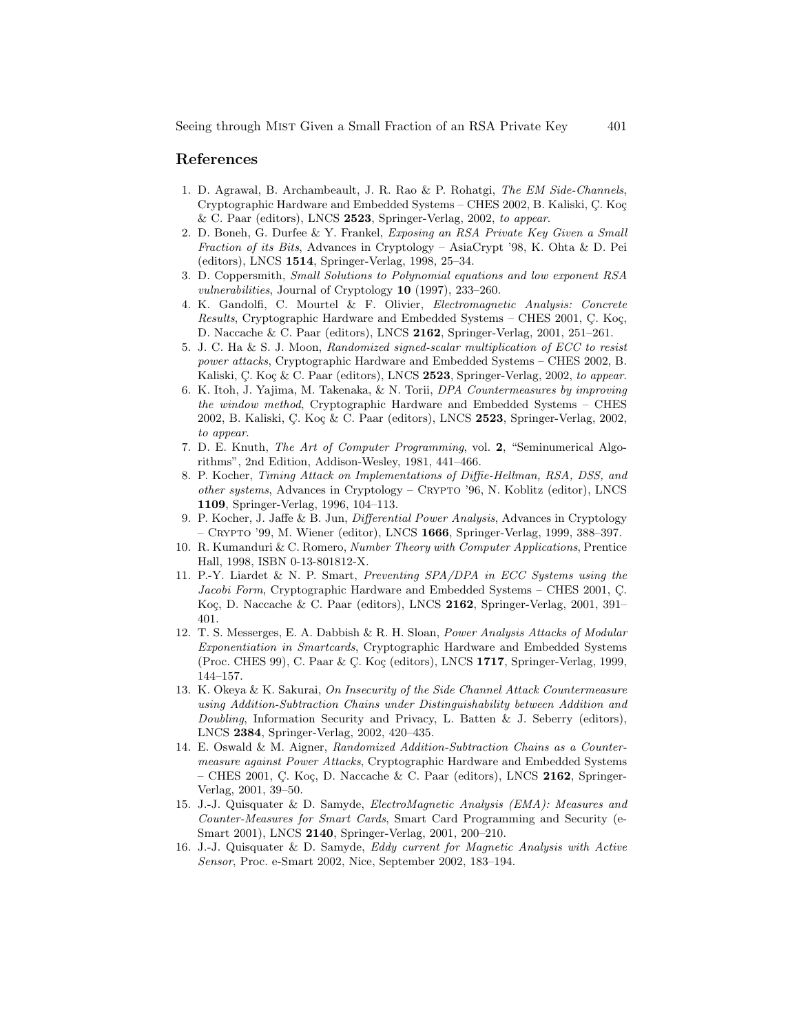#### References

- <span id="page-10-6"></span>1. D. Agrawal, B. Archambeault, J. R. Rao & P. Rohatgi, The EM Side-Channels, Cryptographic Hardware and Embedded Systems – CHES 2002, B. Kaliski, C. Koç & C. Paar (editors), LNCS 2523, Springer-Verlag, 2002, to appear.
- <span id="page-10-13"></span>2. D. Boneh, G. Durfee & Y. Frankel, Exposing an RSA Private Key Given a Small Fraction of its Bits, Advances in Cryptology – AsiaCrypt '98, K. Ohta & D. Pei (editors), LNCS 1514, Springer-Verlag, 1998, 25–34.
- <span id="page-10-14"></span>3. D. Coppersmith, Small Solutions to Polynomial equations and low exponent RSA vulnerabilities, Journal of Cryptology 10 (1997), 233–260.
- <span id="page-10-5"></span>4. K. Gandolfi, C. Mourtel & F. Olivier, Electromagnetic Analysis: Concrete Results, Cryptographic Hardware and Embedded Systems – CHES 2001, Ç. Koç, D. Naccache & C. Paar (editors), LNCS 2162, Springer-Verlag, 2001, 251–261.
- <span id="page-10-10"></span>5. J. C. Ha & S. J. Moon, Randomized signed-scalar multiplication of ECC to resist power attacks, Cryptographic Hardware and Embedded Systems – CHES 2002, B. Kaliski, C. Koç & C. Paar (editors), LNCS 2523, Springer-Verlag, 2002, to appear.
- <span id="page-10-11"></span>6. K. Itoh, J. Yajima, M. Takenaka, & N. Torii, DPA Countermeasures by improving the window method, Cryptographic Hardware and Embedded Systems – CHES 2002, B. Kaliski, C. Koç & C. Paar (editors), LNCS 2523, Springer-Verlag, 2002, to appear.
- <span id="page-10-7"></span>7. D. E. Knuth, The Art of Computer Programming, vol. 2, "Seminumerical Algorithms", 2nd Edition, Addison-Wesley, 1981, 441–466.
- <span id="page-10-0"></span>8. P. Kocher, Timing Attack on Implementations of Diffie-Hellman, RSA, DSS, and other systems, Advances in Cryptology – Crypto '96, N. Koblitz (editor), LNCS 1109, Springer-Verlag, 1996, 104–113.
- <span id="page-10-1"></span>9. P. Kocher, J. Jaffe & B. Jun, Differential Power Analysis, Advances in Cryptology – CRYPTO '99, M. Wiener (editor), LNCS  $1666$ , Springer-Verlag, 1999, 388–397.
- <span id="page-10-15"></span>10. R. Kumanduri & C. Romero, Number Theory with Computer Applications, Prentice Hall, 1998, ISBN 0-13-801812-X.
- <span id="page-10-8"></span>11. P.-Y. Liardet & N. P. Smart, Preventing SPA/DPA in ECC Systems using the Jacobi Form, Cryptographic Hardware and Embedded Systems – CHES 2001, C. Koç, D. Naccache & C. Paar (editors), LNCS  $2162$ , Springer-Verlag, 2001, 391– 401.
- <span id="page-10-2"></span>12. T. S. Messerges, E. A. Dabbish & R. H. Sloan, Power Analysis Attacks of Modular Exponentiation in Smartcards, Cryptographic Hardware and Embedded Systems (Proc. CHES 99), C. Paar & Ç. Koç (editors), LNCS 1717, Springer-Verlag, 1999, 144–157.
- <span id="page-10-12"></span>13. K. Okeya & K. Sakurai, On Insecurity of the Side Channel Attack Countermeasure using Addition-Subtraction Chains under Distinguishability between Addition and Doubling, Information Security and Privacy, L. Batten & J. Seberry (editors), LNCS 2384, Springer-Verlag, 2002, 420–435.
- <span id="page-10-9"></span>14. E. Oswald & M. Aigner, Randomized Addition-Subtraction Chains as a Countermeasure against Power Attacks, Cryptographic Hardware and Embedded Systems – CHES 2001, C. Koç, D. Naccache & C. Paar (editors), LNCS 2162, Springer-Verlag, 2001, 39–50.
- <span id="page-10-3"></span>15. J.-J. Quisquater & D. Samyde, ElectroMagnetic Analysis (EMA): Measures and Counter-Measures for Smart Cards, Smart Card Programming and Security (e-Smart 2001), LNCS 2140, Springer-Verlag, 2001, 200–210.
- <span id="page-10-4"></span>16. J.-J. Quisquater & D. Samyde, Eddy current for Magnetic Analysis with Active Sensor, Proc. e-Smart 2002, Nice, September 2002, 183–194.